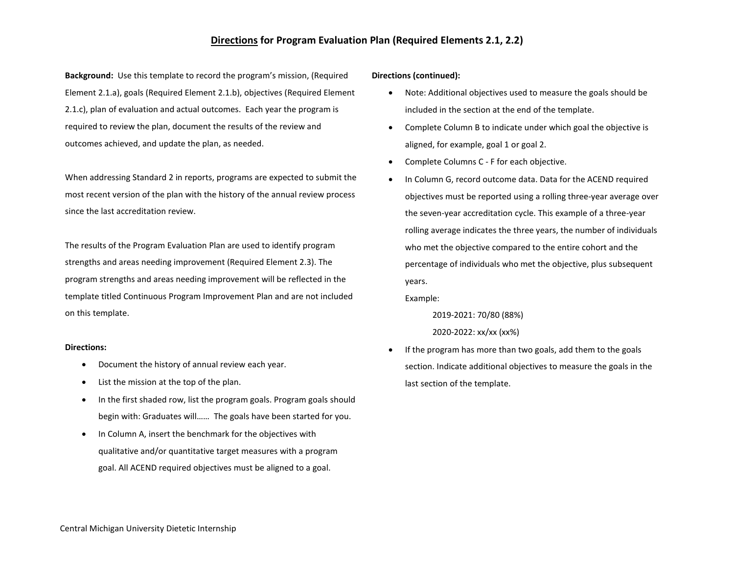### **Directions for Program Evaluation Plan (Required Elements 2.1, 2.2)**

**Background:** Use this template to record the program's mission, (Required Element 2.1.a), goals (Required Element 2.1.b), objectives (Required Element 2.1.c), plan of evaluation and actual outcomes. Each year the program is required to review the plan, document the results of the review and outcomes achieved, and update the plan, as needed.

When addressing Standard 2 in reports, programs are expected to submit the most recent version of the plan with the history of the annual review process since the last accreditation review.

The results of the Program Evaluation Plan are used to identify program strengths and areas needing improvement (Required Element 2.3). The program strengths and areas needing improvement will be reflected in the template titled Continuous Program Improvement Plan and are not included on this template.

### **Directions:**

- Document the history of annual review each year.
- List the mission at the top of the plan.
- In the first shaded row, list the program goals. Program goals should begin with: Graduates will…… The goals have been started for you.
- In Column A, insert the benchmark for the objectives with qualitative and/or quantitative target measures with a program goal. All ACEND required objectives must be aligned to a goal.

### **Directions (continued):**

- Note: Additional objectives used to measure the goals should be included in the section at the end of the template.
- Complete Column B to indicate under which goal the objective is aligned, for example, goal 1 or goal 2.
- Complete Columns C F for each objective.
- In Column G, record outcome data. Data for the ACEND required objectives must be reported using a rolling three-year average over the seven-year accreditation cycle. This example of a three-year rolling average indicates the three years, the number of individuals who met the objective compared to the entire cohort and the percentage of individuals who met the objective, plus subsequent years.

Example:

2019-2021: 70/80 (88%)

 2020-2022: xx/xx (xx%) If the program has more than two goals, add them to the goals

section. Indicate additional objectives to measure the goals in the last section of the template.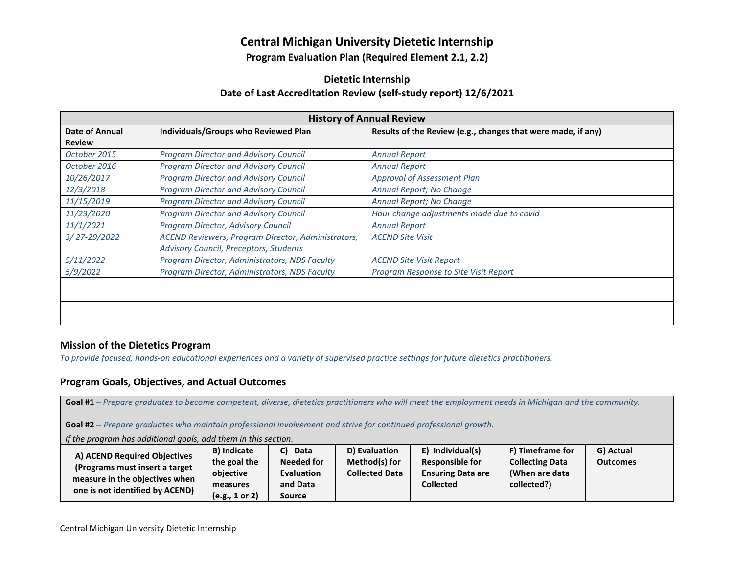# **Central Michigan University Dietetic Internship**

**Program Evaluation Plan (Required Element 2.1, 2.2)** 

# **Dietetic Internship Date of Last Accreditation Review (self-study report) 12/6/2021**

| <b>History of Annual Review</b> |                                                    |                                                              |  |  |  |  |
|---------------------------------|----------------------------------------------------|--------------------------------------------------------------|--|--|--|--|
| Date of Annual                  | Individuals/Groups who Reviewed Plan               | Results of the Review (e.g., changes that were made, if any) |  |  |  |  |
| <b>Review</b>                   |                                                    |                                                              |  |  |  |  |
| October 2015                    | <b>Program Director and Advisory Council</b>       | <b>Annual Report</b>                                         |  |  |  |  |
| October 2016                    | <b>Program Director and Advisory Council</b>       | <b>Annual Report</b>                                         |  |  |  |  |
| 10/26/2017                      | <b>Program Director and Advisory Council</b>       | <b>Approval of Assessment Plan</b>                           |  |  |  |  |
| 12/3/2018                       | <b>Program Director and Advisory Council</b>       | Annual Report; No Change                                     |  |  |  |  |
| 11/15/2019                      | <b>Program Director and Advisory Council</b>       | Annual Report; No Change                                     |  |  |  |  |
| 11/23/2020                      | <b>Program Director and Advisory Council</b>       | Hour change adjustments made due to covid                    |  |  |  |  |
| 11/1/2021                       | Program Director, Advisory Council                 | <b>Annual Report</b>                                         |  |  |  |  |
| 3/27-29/2022                    | ACEND Reviewers, Program Director, Administrators, | <b>ACEND Site Visit</b>                                      |  |  |  |  |
|                                 | Advisory Council, Preceptors, Students             |                                                              |  |  |  |  |
| 5/11/2022                       | Program Director, Administrators, NDS Faculty      | <b>ACEND Site Visit Report</b>                               |  |  |  |  |
| 5/9/2022                        | Program Director, Administrators, NDS Faculty      | Program Response to Site Visit Report                        |  |  |  |  |
|                                 |                                                    |                                                              |  |  |  |  |
|                                 |                                                    |                                                              |  |  |  |  |
|                                 |                                                    |                                                              |  |  |  |  |
|                                 |                                                    |                                                              |  |  |  |  |

## **Mission of the Dietetics Program**

*To provide focused, hands-on educational experiences and a variety of supervised practice settings for future dietetics practitioners.*

# **Program Goals, Objectives, and Actual Outcomes**

**Goal #1** – *Prepare graduates to become competent, diverse, dietetics practitioners who will meet the employment needs in Michigan and the community.* 

**Goal #2** – *Prepare graduates who maintain professional involvement and strive for continued professional growth.*

*If the program has additional goals, add them in this section.*

| A) ACEND Required Objectives<br>(Programs must insert a target<br>measure in the objectives when<br>one is not identified by ACEND) | <b>B</b> ) Indicate<br>the goal the<br>obiective | C) Data<br><b>Needed for</b><br><b>Evaluation</b> | D) Evaluation<br>Method(s) for<br><b>Collected Data</b> | E) Individual(s)<br><b>Responsible for</b><br><b>Ensuring Data are</b> | F) Timeframe for<br><b>Collecting Data</b><br>(When are data | G) Actual<br><b>Outcomes</b> |
|-------------------------------------------------------------------------------------------------------------------------------------|--------------------------------------------------|---------------------------------------------------|---------------------------------------------------------|------------------------------------------------------------------------|--------------------------------------------------------------|------------------------------|
|                                                                                                                                     | measures                                         | and Data                                          |                                                         | <b>Collected</b>                                                       | collected?)                                                  |                              |
|                                                                                                                                     | (e.g., 1 or 2)                                   | Source                                            |                                                         |                                                                        |                                                              |                              |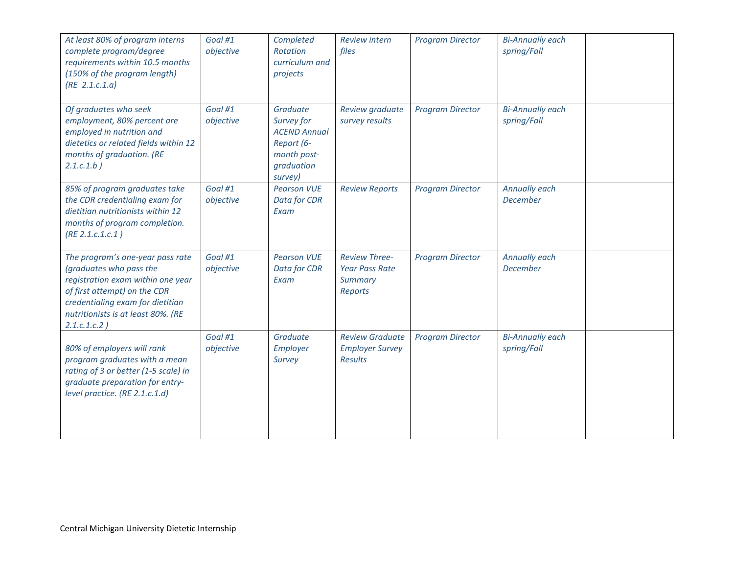| At least 80% of program interns<br>complete program/degree<br>requirements within 10.5 months<br>(150% of the program length)<br>(RE 2.1.c.1.a)                                                                           | Goal #1<br>objective | Completed<br>Rotation<br>curriculum and<br>projects                                                 | <b>Review intern</b><br>files                                       | <b>Program Director</b> | <b>Bi-Annually each</b><br>spring/Fall |  |
|---------------------------------------------------------------------------------------------------------------------------------------------------------------------------------------------------------------------------|----------------------|-----------------------------------------------------------------------------------------------------|---------------------------------------------------------------------|-------------------------|----------------------------------------|--|
| Of graduates who seek<br>employment, 80% percent are<br>employed in nutrition and<br>dietetics or related fields within 12<br>months of graduation. (RE<br>$2.1.c.1.b$ )                                                  | Goal #1<br>objective | Graduate<br>Survey for<br><b>ACEND Annual</b><br>Report (6-<br>month post-<br>graduation<br>survey) | Review graduate<br>survey results                                   | <b>Program Director</b> | <b>Bi-Annually each</b><br>spring/Fall |  |
| 85% of program graduates take<br>the CDR credentialing exam for<br>dietitian nutritionists within 12<br>months of program completion.<br>(RE 2.1.c.1.c.1)                                                                 | Goal #1<br>objective | <b>Pearson VUE</b><br>Data for CDR<br>Exam                                                          | <b>Review Reports</b>                                               | <b>Program Director</b> | Annually each<br><b>December</b>       |  |
| The program's one-year pass rate<br>(graduates who pass the<br>registration exam within one year<br>of first attempt) on the CDR<br>credentialing exam for dietitian<br>nutritionists is at least 80%. (RE<br>2.1.c.1.c.2 | Goal #1<br>objective | <b>Pearson VUE</b><br>Data for CDR<br>Exam                                                          | <b>Review Three-</b><br><b>Year Pass Rate</b><br>Summary<br>Reports | <b>Program Director</b> | Annually each<br><b>December</b>       |  |
| 80% of employers will rank<br>program graduates with a mean<br>rating of 3 or better (1-5 scale) in<br>graduate preparation for entry-<br>level practice. (RE 2.1.c.1.d)                                                  | Goal #1<br>objective | Graduate<br>Employer<br>Survey                                                                      | <b>Review Graduate</b><br><b>Employer Survey</b><br><b>Results</b>  | <b>Program Director</b> | <b>Bi-Annually each</b><br>spring/Fall |  |